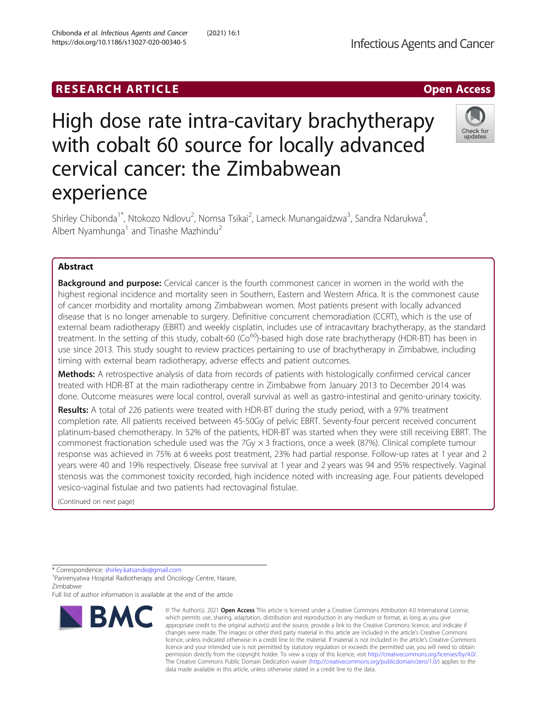# High dose rate intra-cavitary brachytherapy with cobalt 60 source for locally advanced cervical cancer: the Zimbabwean experience

Shirley Chibonda<sup>1\*</sup>, Ntokozo Ndlovu<sup>2</sup>, Nomsa Tsikai<sup>2</sup>, Lameck Munangaidzwa<sup>3</sup>, Sandra Ndarukwa<sup>4</sup> , Albert Nyamhunga<sup>1</sup> and Tinashe Mazhindu<sup>2</sup>

# Abstract

**Background and purpose:** Cervical cancer is the fourth commonest cancer in women in the world with the highest regional incidence and mortality seen in Southern, Eastern and Western Africa. It is the commonest cause of cancer morbidity and mortality among Zimbabwean women. Most patients present with locally advanced disease that is no longer amenable to surgery. Definitive concurrent chemoradiation (CCRT), which is the use of external beam radiotherapy (EBRT) and weekly cisplatin, includes use of intracavitary brachytherapy, as the standard treatment. In the setting of this study, cobalt-60 ( $Co<sup>60</sup>$ )-based high dose rate brachytherapy (HDR-BT) has been in use since 2013. This study sought to review practices pertaining to use of brachytherapy in Zimbabwe, including timing with external beam radiotherapy, adverse effects and patient outcomes.

Methods: A retrospective analysis of data from records of patients with histologically confirmed cervical cancer treated with HDR-BT at the main radiotherapy centre in Zimbabwe from January 2013 to December 2014 was done. Outcome measures were local control, overall survival as well as gastro-intestinal and genito-urinary toxicity.

Results: A total of 226 patients were treated with HDR-BT during the study period, with a 97% treatment completion rate. All patients received between 45-50Gy of pelvic EBRT. Seventy-four percent received concurrent platinum-based chemotherapy. In 52% of the patients, HDR-BT was started when they were still receiving EBRT. The commonest fractionation schedule used was the 7Gy  $\times$  3 fractions, once a week (87%). Clinical complete tumour response was achieved in 75% at 6 weeks post treatment, 23% had partial response. Follow-up rates at 1 year and 2 years were 40 and 19% respectively. Disease free survival at 1 year and 2 years was 94 and 95% respectively. Vaginal stenosis was the commonest toxicity recorded, high incidence noted with increasing age. Four patients developed vesico-vaginal fistulae and two patients had rectovaginal fistulae.

(Continued on next page)

\* Correspondence: [shirley.katsande@gmail.com](mailto:shirley.katsande@gmail.com) <sup>1</sup>

**BMC** 

<sup>1</sup> Parirenyatwa Hospital Radiotherapy and Oncology Centre, Harare, Zimbabwe

Full list of author information is available at the end of the article

Chibonda et al. Infectious Agents and Cancer (2021) 16:1 https://doi.org/10.1186/s13027-020-00340-5

**RESEARCH ARTICLE Example 2018 12:00 Department 2018 12:00 Department 2018 12:00 Department 2018 12:00 Department 2018 12:00 Department 2018 12:00 Department 2018 12:00 Department 2018 12:00 Department 2018 12:00 Departm** 







<sup>©</sup> The Author(s), 2021 **Open Access** This article is licensed under a Creative Commons Attribution 4.0 International License, which permits use, sharing, adaptation, distribution and reproduction in any medium or format, as long as you give appropriate credit to the original author(s) and the source, provide a link to the Creative Commons licence, and indicate if changes were made. The images or other third party material in this article are included in the article's Creative Commons licence, unless indicated otherwise in a credit line to the material. If material is not included in the article's Creative Commons licence and your intended use is not permitted by statutory regulation or exceeds the permitted use, you will need to obtain permission directly from the copyright holder. To view a copy of this licence, visit [http://creativecommons.org/licenses/by/4.0/.](http://creativecommons.org/licenses/by/4.0/) The Creative Commons Public Domain Dedication waiver [\(http://creativecommons.org/publicdomain/zero/1.0/](http://creativecommons.org/publicdomain/zero/1.0/)) applies to the data made available in this article, unless otherwise stated in a credit line to the data.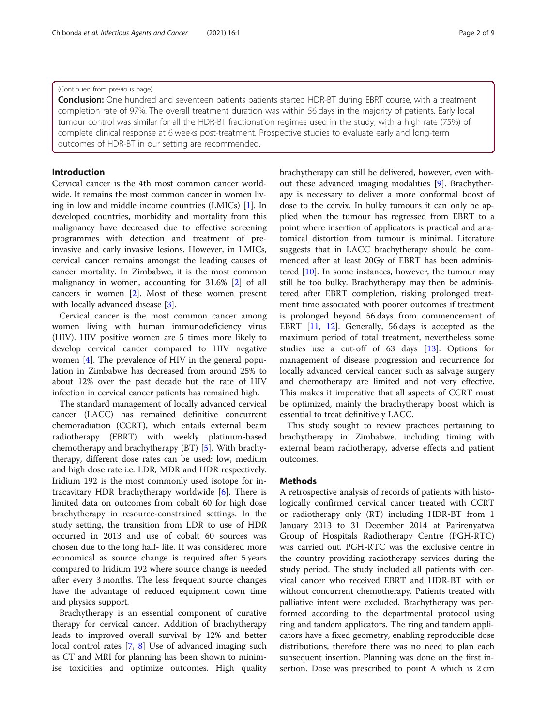# (Continued from previous page)

Conclusion: One hundred and seventeen patients patients started HDR-BT during EBRT course, with a treatment completion rate of 97%. The overall treatment duration was within 56 days in the majority of patients. Early local tumour control was similar for all the HDR-BT fractionation regimes used in the study, with a high rate (75%) of complete clinical response at 6 weeks post-treatment. Prospective studies to evaluate early and long-term outcomes of HDR-BT in our setting are recommended.

# Introduction

Cervical cancer is the 4th most common cancer worldwide. It remains the most common cancer in women living in low and middle income countries (LMICs) [\[1](#page-8-0)]. In developed countries, morbidity and mortality from this malignancy have decreased due to effective screening programmes with detection and treatment of preinvasive and early invasive lesions. However, in LMICs, cervical cancer remains amongst the leading causes of cancer mortality. In Zimbabwe, it is the most common malignancy in women, accounting for 31.6% [\[2](#page-8-0)] of all cancers in women [[2\]](#page-8-0). Most of these women present with locally advanced disease [[3\]](#page-8-0).

Cervical cancer is the most common cancer among women living with human immunodeficiency virus (HIV). HIV positive women are 5 times more likely to develop cervical cancer compared to HIV negative women [\[4](#page-8-0)]. The prevalence of HIV in the general population in Zimbabwe has decreased from around 25% to about 12% over the past decade but the rate of HIV infection in cervical cancer patients has remained high.

The standard management of locally advanced cervical cancer (LACC) has remained definitive concurrent chemoradiation (CCRT), which entails external beam radiotherapy (EBRT) with weekly platinum-based chemotherapy and brachytherapy (BT) [\[5](#page-8-0)]. With brachytherapy, different dose rates can be used: low, medium and high dose rate i.e. LDR, MDR and HDR respectively. Iridium 192 is the most commonly used isotope for intracavitary HDR brachytherapy worldwide [[6\]](#page-8-0). There is limited data on outcomes from cobalt 60 for high dose brachytherapy in resource-constrained settings. In the study setting, the transition from LDR to use of HDR occurred in 2013 and use of cobalt 60 sources was chosen due to the long half- life. It was considered more economical as source change is required after 5 years compared to Iridium 192 where source change is needed after every 3 months. The less frequent source changes have the advantage of reduced equipment down time and physics support.

Brachytherapy is an essential component of curative therapy for cervical cancer. Addition of brachytherapy leads to improved overall survival by 12% and better local control rates [\[7](#page-8-0), [8](#page-8-0)] Use of advanced imaging such as CT and MRI for planning has been shown to minimise toxicities and optimize outcomes. High quality brachytherapy can still be delivered, however, even without these advanced imaging modalities [[9\]](#page-8-0). Brachytherapy is necessary to deliver a more conformal boost of dose to the cervix. In bulky tumours it can only be applied when the tumour has regressed from EBRT to a point where insertion of applicators is practical and anatomical distortion from tumour is minimal. Literature suggests that in LACC brachytherapy should be commenced after at least 20Gy of EBRT has been administered  $[10]$  $[10]$ . In some instances, however, the tumour may still be too bulky. Brachytherapy may then be administered after EBRT completion, risking prolonged treatment time associated with poorer outcomes if treatment is prolonged beyond 56 days from commencement of EBRT [[11](#page-8-0), [12](#page-8-0)]. Generally, 56 days is accepted as the maximum period of total treatment, nevertheless some studies use a cut-off of 63 days [\[13\]](#page-8-0). Options for management of disease progression and recurrence for locally advanced cervical cancer such as salvage surgery and chemotherapy are limited and not very effective. This makes it imperative that all aspects of CCRT must be optimized, mainly the brachytherapy boost which is essential to treat definitively LACC.

This study sought to review practices pertaining to brachytherapy in Zimbabwe, including timing with external beam radiotherapy, adverse effects and patient outcomes.

## Methods

A retrospective analysis of records of patients with histologically confirmed cervical cancer treated with CCRT or radiotherapy only (RT) including HDR-BT from 1 January 2013 to 31 December 2014 at Parirenyatwa Group of Hospitals Radiotherapy Centre (PGH-RTC) was carried out. PGH-RTC was the exclusive centre in the country providing radiotherapy services during the study period. The study included all patients with cervical cancer who received EBRT and HDR-BT with or without concurrent chemotherapy. Patients treated with palliative intent were excluded. Brachytherapy was performed according to the departmental protocol using ring and tandem applicators. The ring and tandem applicators have a fixed geometry, enabling reproducible dose distributions, therefore there was no need to plan each subsequent insertion. Planning was done on the first insertion. Dose was prescribed to point A which is 2 cm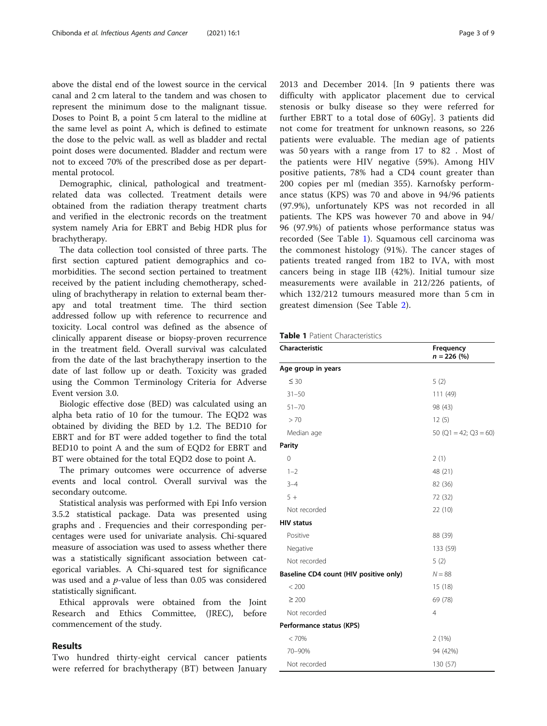above the distal end of the lowest source in the cervical canal and 2 cm lateral to the tandem and was chosen to represent the minimum dose to the malignant tissue. Doses to Point B, a point 5 cm lateral to the midline at the same level as point A, which is defined to estimate the dose to the pelvic wall. as well as bladder and rectal point doses were documented. Bladder and rectum were not to exceed 70% of the prescribed dose as per departmental protocol.

Demographic, clinical, pathological and treatmentrelated data was collected. Treatment details were obtained from the radiation therapy treatment charts and verified in the electronic records on the treatment system namely Aria for EBRT and Bebig HDR plus for brachytherapy.

The data collection tool consisted of three parts. The first section captured patient demographics and comorbidities. The second section pertained to treatment received by the patient including chemotherapy, scheduling of brachytherapy in relation to external beam therapy and total treatment time. The third section addressed follow up with reference to recurrence and toxicity. Local control was defined as the absence of clinically apparent disease or biopsy-proven recurrence in the treatment field. Overall survival was calculated from the date of the last brachytherapy insertion to the date of last follow up or death. Toxicity was graded using the Common Terminology Criteria for Adverse Event version 3.0.

Biologic effective dose (BED) was calculated using an alpha beta ratio of 10 for the tumour. The EQD2 was obtained by dividing the BED by 1.2. The BED10 for EBRT and for BT were added together to find the total BED10 to point A and the sum of EQD2 for EBRT and BT were obtained for the total EQD2 dose to point A.

The primary outcomes were occurrence of adverse events and local control. Overall survival was the secondary outcome.

Statistical analysis was performed with Epi Info version 3.5.2 statistical package. Data was presented using graphs and . Frequencies and their corresponding percentages were used for univariate analysis. Chi-squared measure of association was used to assess whether there was a statistically significant association between categorical variables. A Chi-squared test for significance was used and a p-value of less than 0.05 was considered statistically significant.

Ethical approvals were obtained from the Joint Research and Ethics Committee, (JREC), before commencement of the study.

## Results

Two hundred thirty-eight cervical cancer patients were referred for brachytherapy (BT) between January 2013 and December 2014. [In 9 patients there was difficulty with applicator placement due to cervical stenosis or bulky disease so they were referred for further EBRT to a total dose of 60Gy]. 3 patients did not come for treatment for unknown reasons, so 226 patients were evaluable. The median age of patients was 50 years with a range from 17 to 82 . Most of the patients were HIV negative (59%). Among HIV positive patients, 78% had a CD4 count greater than 200 copies per ml (median 355). Karnofsky performance status (KPS) was 70 and above in 94/96 patients (97.9%), unfortunately KPS was not recorded in all patients. The KPS was however 70 and above in 94/ 96 (97.9%) of patients whose performance status was recorded (See Table 1). Squamous cell carcinoma was the commonest histology (91%). The cancer stages of patients treated ranged from 1B2 to IVA, with most cancers being in stage IIB (42%). Initial tumour size measurements were available in 212/226 patients, of which 132/212 tumours measured more than 5 cm in greatest dimension (See Table [2](#page-3-0)).

| <b>Table 1</b> Patient Characteristics |  |
|----------------------------------------|--|
|----------------------------------------|--|

| Characteristic<br>Frequency<br>$n = 226$ (%) |                              |  |
|----------------------------------------------|------------------------------|--|
| Age group in years                           |                              |  |
| $\leq 30$                                    | 5(2)                         |  |
| $31 - 50$                                    | 111 (49)                     |  |
| $51 - 70$                                    | 98 (43)                      |  |
| > 70                                         | 12(5)                        |  |
| Median age                                   | 50 ( $Q1 = 42$ ; $Q3 = 60$ ) |  |
| <b>Parity</b>                                |                              |  |
| $\overline{0}$                               | 2(1)                         |  |
| $1 - 2$                                      | 48 (21)                      |  |
| $3 - 4$                                      | 82 (36)                      |  |
| $5+$                                         | 72 (32)                      |  |
| Not recorded                                 | 22 (10)                      |  |
| <b>HIV status</b>                            |                              |  |
| Positive                                     | 88 (39)                      |  |
| Negative                                     | 133 (59)                     |  |
| Not recorded                                 | 5(2)                         |  |
| Baseline CD4 count (HIV positive only)       | $N = 88$                     |  |
| < 200                                        | 15(18)                       |  |
| $\geq 200$                                   | 69 (78)                      |  |
| Not recorded                                 | 4                            |  |
| Performance status (KPS)                     |                              |  |
| < 70%                                        | 2(1%)                        |  |
| 70-90%                                       | 94 (42%)                     |  |
| Not recorded                                 | 130 (57)                     |  |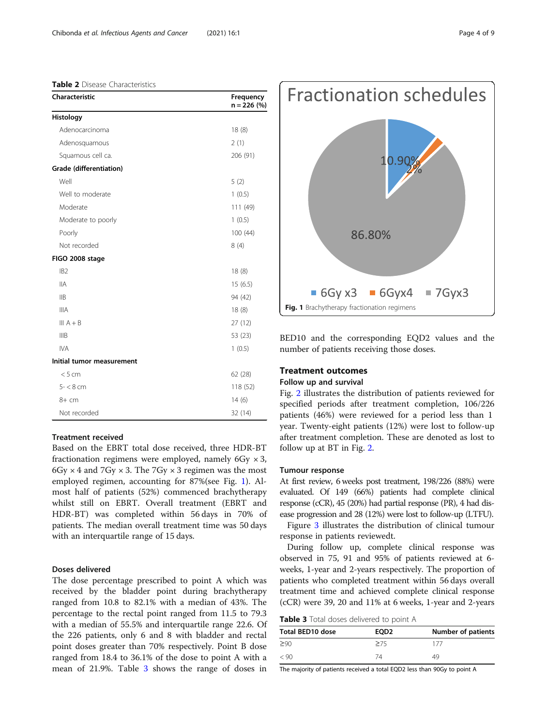<span id="page-3-0"></span>Table 2 Disease Characteristics

| Characteristic            | Frequency<br>$n = 226$ (%) |
|---------------------------|----------------------------|
| Histology                 |                            |
| Adenocarcinoma            | 18(8)                      |
| Adenosquamous             | 2(1)                       |
| Squamous cell ca.         | 206 (91)                   |
| Grade (differentiation)   |                            |
| Well                      | 5(2)                       |
| Well to moderate          | 1(0.5)                     |
| Moderate                  | 111 (49)                   |
| Moderate to poorly        | 1(0.5)                     |
| Poorly                    | 100(44)                    |
| Not recorded              | 8(4)                       |
| FIGO 2008 stage           |                            |
| IB <sub>2</sub>           | 18(8)                      |
| <b>IIA</b>                | 15(6.5)                    |
| <b>IIB</b>                | 94 (42)                    |
| <b>IIIA</b>               | 18(8)                      |
| $III A + B$               | 27(12)                     |
| <b>IIIB</b>               | 53 (23)                    |
| <b>IVA</b>                | 1(0.5)                     |
| Initial tumor measurement |                            |
| < 5 cm                    | 62 (28)                    |
| $5 - 8$ cm                | 118 (52)                   |
| 8+ cm                     | 14(6)                      |
| Not recorded              | 32 (14)                    |

## Treatment received

Based on the EBRT total dose received, three HDR-BT fractionation regimens were employed, namely  $6Gy \times 3$ , 6Gy  $\times$  4 and 7Gy  $\times$  3. The 7Gy  $\times$  3 regimen was the most employed regimen, accounting for 87%(see Fig. 1). Almost half of patients (52%) commenced brachytherapy whilst still on EBRT. Overall treatment (EBRT and HDR-BT) was completed within 56 days in 70% of patients. The median overall treatment time was 50 days with an interquartile range of 15 days.

## Doses delivered

The dose percentage prescribed to point A which was received by the bladder point during brachytherapy ranged from 10.8 to 82.1% with a median of 43%. The percentage to the rectal point ranged from 11.5 to 79.3 with a median of 55.5% and interquartile range 22.6. Of the 226 patients, only 6 and 8 with bladder and rectal point doses greater than 70% respectively. Point B dose ranged from 18.4 to 36.1% of the dose to point A with a mean of 21.9%. Table 3 shows the range of doses in



BED10 and the corresponding EQD2 values and the number of patients receiving those doses.

# Treatment outcomes

# Follow up and survival

Fig. [2](#page-4-0) illustrates the distribution of patients reviewed for specified periods after treatment completion, 106/226 patients (46%) were reviewed for a period less than 1 year. Twenty-eight patients (12%) were lost to follow-up after treatment completion. These are denoted as lost to follow up at BT in Fig. [2](#page-4-0).

# Tumour response

At first review, 6 weeks post treatment, 198/226 (88%) were evaluated. Of 149 (66%) patients had complete clinical response (cCR), 45 (20%) had partial response (PR), 4 had disease progression and 28 (12%) were lost to follow-up (LTFU).

Figure [3](#page-4-0) illustrates the distribution of clinical tumour response in patients reviewedt.

During follow up, complete clinical response was observed in 75, 91 and 95% of patients reviewed at 6 weeks, 1-year and 2-years respectively. The proportion of patients who completed treatment within 56 days overall treatment time and achieved complete clinical response (cCR) were 39, 20 and 11% at 6 weeks, 1-year and 2-years

Table 3 Total doses delivered to point A

| <b>Total BED10 dose</b> | EOD <sub>2</sub> | Number of patients |  |  |
|-------------------------|------------------|--------------------|--|--|
| $\geq 90$               | >75              | 177                |  |  |
| < 90                    | 7Δ               | 49                 |  |  |

The majority of patients received a total EQD2 less than 90Gy to point A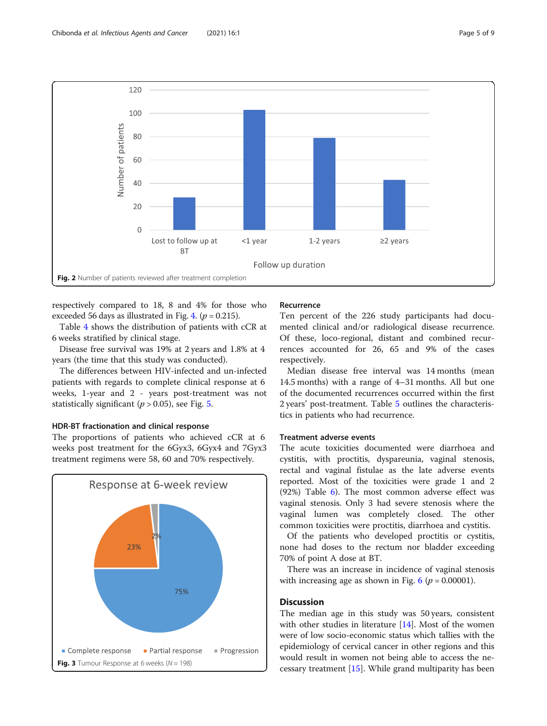<span id="page-4-0"></span>

respectively compared to 18, 8 and 4% for those who exceeded 56 days as illustrated in Fig. [4.](#page-5-0) ( $p = 0.215$ ).

Table [4](#page-5-0) shows the distribution of patients with cCR at 6 weeks stratified by clinical stage.

Disease free survival was 19% at 2 years and 1.8% at 4 years (the time that this study was conducted).

The differences between HIV-infected and un-infected patients with regards to complete clinical response at 6 weeks, 1-year and 2 - years post-treatment was not statistically significant ( $p > 0.05$ ), see Fig. [5.](#page-6-0)

# HDR-BT fractionation and clinical response

The proportions of patients who achieved cCR at 6 weeks post treatment for the 6Gyx3, 6Gyx4 and 7Gyx3 treatment regimens were 58, 60 and 70% respectively.



#### Recurrence

Ten percent of the 226 study participants had documented clinical and/or radiological disease recurrence. Of these, loco-regional, distant and combined recurrences accounted for 26, 65 and 9% of the cases respectively.

Median disease free interval was 14 months (mean 14.5 months) with a range of 4–31 months. All but one of the documented recurrences occurred within the first 2 years' post-treatment. Table [5](#page-7-0) outlines the characteristics in patients who had recurrence.

# Treatment adverse events

The acute toxicities documented were diarrhoea and cystitis, with proctitis, dyspareunia, vaginal stenosis, rectal and vaginal fistulae as the late adverse events reported. Most of the toxicities were grade 1 and 2 (92%) Table [6\)](#page-7-0). The most common adverse effect was vaginal stenosis. Only 3 had severe stenosis where the vaginal lumen was completely closed. The other common toxicities were proctitis, diarrhoea and cystitis.

Of the patients who developed proctitis or cystitis, none had doses to the rectum nor bladder exceeding 70% of point A dose at BT.

There was an increase in incidence of vaginal stenosis with increasing age as shown in Fig. [6](#page-6-0) ( $p = 0.00001$ ).

# **Discussion**

The median age in this study was 50 years, consistent with other studies in literature [[14\]](#page-8-0). Most of the women were of low socio-economic status which tallies with the epidemiology of cervical cancer in other regions and this would result in women not being able to access the necessary treatment [[15](#page-8-0)]. While grand multiparity has been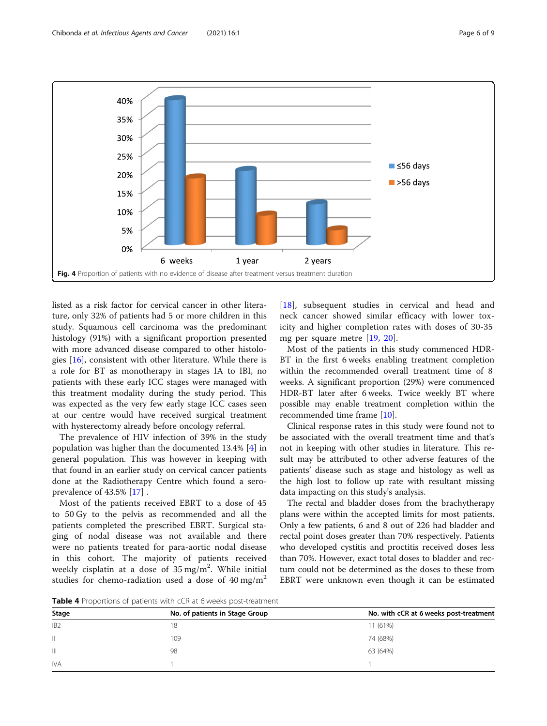<span id="page-5-0"></span>

listed as a risk factor for cervical cancer in other literature, only 32% of patients had 5 or more children in this study. Squamous cell carcinoma was the predominant histology (91%) with a significant proportion presented with more advanced disease compared to other histologies [[16\]](#page-8-0), consistent with other literature. While there is a role for BT as monotherapy in stages IA to IBI, no patients with these early ICC stages were managed with this treatment modality during the study period. This was expected as the very few early stage ICC cases seen at our centre would have received surgical treatment with hysterectomy already before oncology referral.

The prevalence of HIV infection of 39% in the study population was higher than the documented 13.4% [[4](#page-8-0)] in general population. This was however in keeping with that found in an earlier study on cervical cancer patients done at the Radiotherapy Centre which found a seroprevalence of 43.5% [[17\]](#page-8-0) .

Most of the patients received EBRT to a dose of 45 to 50 Gy to the pelvis as recommended and all the patients completed the prescribed EBRT. Surgical staging of nodal disease was not available and there were no patients treated for para-aortic nodal disease in this cohort. The majority of patients received weekly cisplatin at a dose of  $35 \,\mathrm{mg/m^2}$ . While initial studies for chemo-radiation used a dose of  $40 \text{ mg/m}^2$ 

[[18\]](#page-8-0), subsequent studies in cervical and head and neck cancer showed similar efficacy with lower toxicity and higher completion rates with doses of 30-35 mg per square metre [[19,](#page-8-0) [20](#page-8-0)].

Most of the patients in this study commenced HDR-BT in the first 6 weeks enabling treatment completion within the recommended overall treatment time of 8 weeks. A significant proportion (29%) were commenced HDR-BT later after 6 weeks. Twice weekly BT where possible may enable treatment completion within the recommended time frame [\[10\]](#page-8-0).

Clinical response rates in this study were found not to be associated with the overall treatment time and that's not in keeping with other studies in literature. This result may be attributed to other adverse features of the patients' disease such as stage and histology as well as the high lost to follow up rate with resultant missing data impacting on this study's analysis.

The rectal and bladder doses from the brachytherapy plans were within the accepted limits for most patients. Only a few patients, 6 and 8 out of 226 had bladder and rectal point doses greater than 70% respectively. Patients who developed cystitis and proctitis received doses less than 70%. However, exact total doses to bladder and rectum could not be determined as the doses to these from EBRT were unknown even though it can be estimated

Table 4 Proportions of patients with cCR at 6 weeks post-treatment

| Stage           | No. of patients in Stage Group | No. with cCR at 6 weeks post-treatment |
|-----------------|--------------------------------|----------------------------------------|
| IB <sub>2</sub> | 18                             | 11 (61%)                               |
| $\mathbb{I}$    | 109                            | 74 (68%)                               |
| $\mathbb{H}$    | 98                             | 63 (64%)                               |
| <b>IVA</b>      |                                |                                        |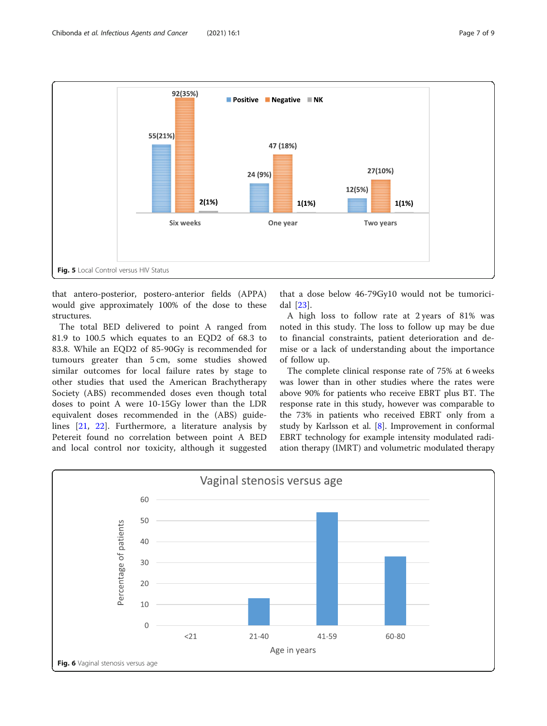<span id="page-6-0"></span>

that antero-posterior, postero-anterior fields (APPA) would give approximately 100% of the dose to these structures.

The total BED delivered to point A ranged from 81.9 to 100.5 which equates to an EQD2 of 68.3 to 83.8. While an EQD2 of 85-90Gy is recommended for tumours greater than 5 cm, some studies showed similar outcomes for local failure rates by stage to other studies that used the American Brachytherapy Society (ABS) recommended doses even though total doses to point A were 10-15Gy lower than the LDR equivalent doses recommended in the (ABS) guidelines [\[21](#page-8-0), [22\]](#page-8-0). Furthermore, a literature analysis by Petereit found no correlation between point A BED and local control nor toxicity, although it suggested

that a dose below 46-79Gy10 would not be tumoricidal [\[23](#page-8-0)].

A high loss to follow rate at 2 years of 81% was noted in this study. The loss to follow up may be due to financial constraints, patient deterioration and demise or a lack of understanding about the importance of follow up.

The complete clinical response rate of 75% at 6 weeks was lower than in other studies where the rates were above 90% for patients who receive EBRT plus BT. The response rate in this study, however was comparable to the 73% in patients who received EBRT only from a study by Karlsson et al. [\[8](#page-8-0)]. Improvement in conformal EBRT technology for example intensity modulated radiation therapy (IMRT) and volumetric modulated therapy

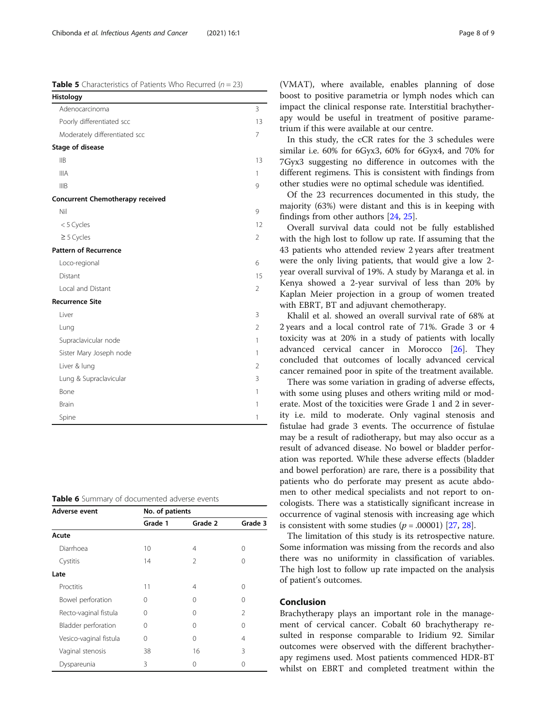<span id="page-7-0"></span>**Table 5** Characteristics of Patients Who Recurred ( $n = 23$ )

| Histology                        |                |
|----------------------------------|----------------|
| Adenocarcinoma                   | 3              |
| Poorly differentiated scc        | 13             |
| Moderately differentiated scc    | 7              |
| <b>Stage of disease</b>          |                |
| IIB                              | 13             |
| <b>IIIA</b>                      | 1              |
| <b>IIIB</b>                      | 9              |
| Concurrent Chemotherapy received |                |
| Nil                              | 9              |
| <5 Cycles                        | 12             |
| $\geq$ 5 Cycles                  | $\mathcal{P}$  |
| <b>Pattern of Recurrence</b>     |                |
| Loco-regional                    | 6              |
| Distant                          | 15             |
| Local and Distant                | 2              |
| <b>Recurrence Site</b>           |                |
| Liver                            | 3              |
| Lung                             | $\overline{2}$ |
| Supraclavicular node             | 1              |
| Sister Mary Joseph node          | 1              |
| Liver & lung                     | $\overline{2}$ |
| Lung & Supraclavicular           | 3              |
| Bone                             | 1              |
| <b>Brain</b>                     | 1              |
| Spine                            | 1              |

Table 6 Summary of documented adverse events

| Adverse event          | No. of patients |          |                |
|------------------------|-----------------|----------|----------------|
|                        | Grade 1         | Grade 2  | Grade 3        |
| Acute                  |                 |          |                |
| Diarrhoea              | 10              | 4        | 0              |
| Cystitis               | 14              | 2        | 0              |
| Late                   |                 |          |                |
| Proctitis              | 11              | 4        | Ω              |
| Bowel perforation      | 0               | ∩        | $^{(1)}$       |
| Recto-vaginal fistula  | Ω               | ∩        | $\mathfrak{D}$ |
| Bladder perforation    | 0               | 0        | 0              |
| Vesico-vaginal fistula | 0               | 0        | 4              |
| Vaginal stenosis       | 38              | 16       | 3              |
| Dyspareunia            | 3               | $^{(1)}$ | Ω              |

In this study, the cCR rates for the 3 schedules were similar i.e. 60% for 6Gyx3, 60% for 6Gyx4, and 70% for 7Gyx3 suggesting no difference in outcomes with the different regimens. This is consistent with findings from other studies were no optimal schedule was identified.

Of the 23 recurrences documented in this study, the majority (63%) were distant and this is in keeping with findings from other authors [\[24](#page-8-0), [25](#page-8-0)].

Overall survival data could not be fully established with the high lost to follow up rate. If assuming that the 43 patients who attended review 2 years after treatment were the only living patients, that would give a low 2 year overall survival of 19%. A study by Maranga et al. in Kenya showed a 2-year survival of less than 20% by Kaplan Meier projection in a group of women treated with EBRT, BT and adjuvant chemotherapy.

Khalil et al. showed an overall survival rate of 68% at 2 years and a local control rate of 71%. Grade 3 or 4 toxicity was at 20% in a study of patients with locally advanced cervical cancer in Morocco [[26\]](#page-8-0). They concluded that outcomes of locally advanced cervical cancer remained poor in spite of the treatment available.

There was some variation in grading of adverse effects, with some using pluses and others writing mild or moderate. Most of the toxicities were Grade 1 and 2 in severity i.e. mild to moderate. Only vaginal stenosis and fistulae had grade 3 events. The occurrence of fistulae may be a result of radiotherapy, but may also occur as a result of advanced disease. No bowel or bladder perforation was reported. While these adverse effects (bladder and bowel perforation) are rare, there is a possibility that patients who do perforate may present as acute abdomen to other medical specialists and not report to oncologists. There was a statistically significant increase in occurrence of vaginal stenosis with increasing age which is consistent with some studies  $(p = .00001)$  [\[27](#page-8-0), [28](#page-8-0)].

The limitation of this study is its retrospective nature. Some information was missing from the records and also there was no uniformity in classification of variables. The high lost to follow up rate impacted on the analysis of patient's outcomes.

# Conclusion

Brachytherapy plays an important role in the management of cervical cancer. Cobalt 60 brachytherapy resulted in response comparable to Iridium 92. Similar outcomes were observed with the different brachytherapy regimens used. Most patients commenced HDR-BT whilst on EBRT and completed treatment within the